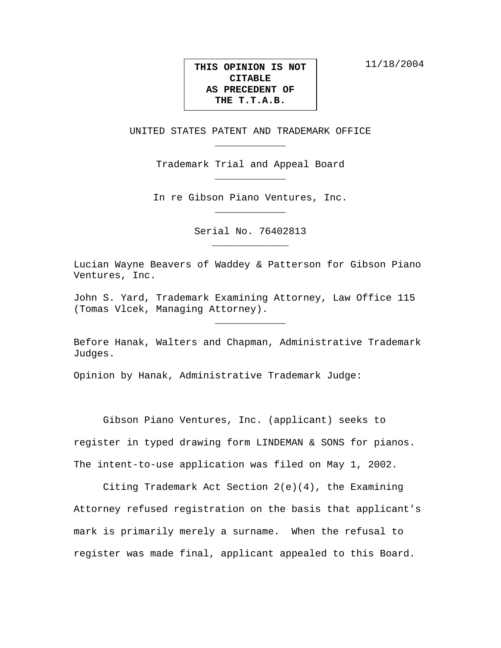11/18/2004

## **THIS OPINION IS NOT CITABLE AS PRECEDENT OF THE T.T.A.B.**

UNITED STATES PATENT AND TRADEMARK OFFICE \_\_\_\_\_\_\_\_\_\_\_\_

> Trademark Trial and Appeal Board \_\_\_\_\_\_\_\_\_\_\_\_

In re Gibson Piano Ventures, Inc. \_\_\_\_\_\_\_\_\_\_\_\_

> Serial No. 76402813 \_\_\_\_\_\_\_\_\_\_\_\_\_

Lucian Wayne Beavers of Waddey & Patterson for Gibson Piano Ventures, Inc.

John S. Yard, Trademark Examining Attorney, Law Office 115 (Tomas Vlcek, Managing Attorney).

Before Hanak, Walters and Chapman, Administrative Trademark Judges.

\_\_\_\_\_\_\_\_\_\_\_\_

Opinion by Hanak, Administrative Trademark Judge:

Gibson Piano Ventures, Inc. (applicant) seeks to register in typed drawing form LINDEMAN & SONS for pianos. The intent-to-use application was filed on May 1, 2002.

Citing Trademark Act Section 2(e)(4), the Examining Attorney refused registration on the basis that applicant's mark is primarily merely a surname. When the refusal to register was made final, applicant appealed to this Board.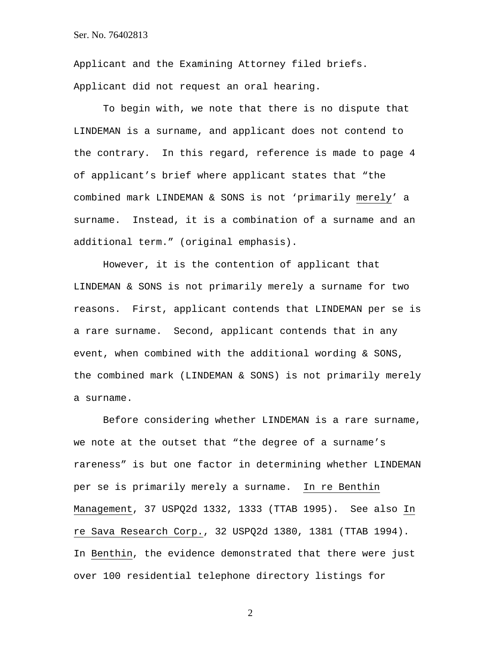Applicant and the Examining Attorney filed briefs. Applicant did not request an oral hearing.

To begin with, we note that there is no dispute that LINDEMAN is a surname, and applicant does not contend to the contrary. In this regard, reference is made to page 4 of applicant's brief where applicant states that "the combined mark LINDEMAN & SONS is not 'primarily merely' a surname. Instead, it is a combination of a surname and an additional term." (original emphasis).

However, it is the contention of applicant that LINDEMAN & SONS is not primarily merely a surname for two reasons. First, applicant contends that LINDEMAN per se is a rare surname. Second, applicant contends that in any event, when combined with the additional wording & SONS, the combined mark (LINDEMAN & SONS) is not primarily merely a surname.

Before considering whether LINDEMAN is a rare surname, we note at the outset that "the degree of a surname's rareness" is but one factor in determining whether LINDEMAN per se is primarily merely a surname. In re Benthin Management, 37 USPQ2d 1332, 1333 (TTAB 1995). See also In re Sava Research Corp., 32 USPQ2d 1380, 1381 (TTAB 1994). In Benthin, the evidence demonstrated that there were just over 100 residential telephone directory listings for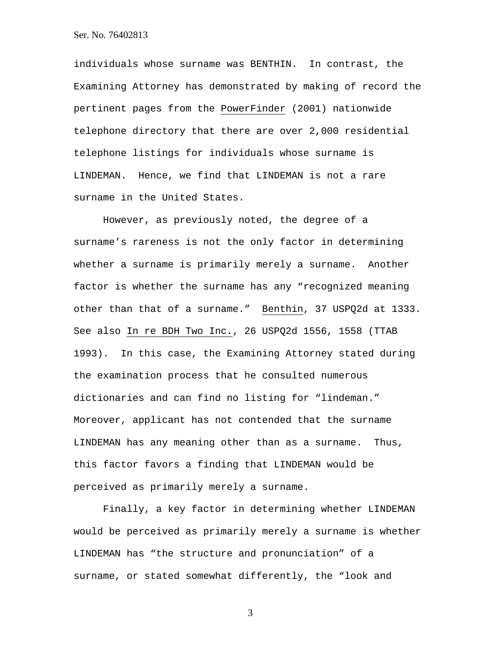individuals whose surname was BENTHIN. In contrast, the Examining Attorney has demonstrated by making of record the pertinent pages from the PowerFinder (2001) nationwide telephone directory that there are over 2,000 residential telephone listings for individuals whose surname is LINDEMAN. Hence, we find that LINDEMAN is not a rare surname in the United States.

However, as previously noted, the degree of a surname's rareness is not the only factor in determining whether a surname is primarily merely a surname. Another factor is whether the surname has any "recognized meaning other than that of a surname." Benthin, 37 USPQ2d at 1333. See also In re BDH Two Inc., 26 USPQ2d 1556, 1558 (TTAB 1993). In this case, the Examining Attorney stated during the examination process that he consulted numerous dictionaries and can find no listing for "lindeman." Moreover, applicant has not contended that the surname LINDEMAN has any meaning other than as a surname. Thus, this factor favors a finding that LINDEMAN would be perceived as primarily merely a surname.

Finally, a key factor in determining whether LINDEMAN would be perceived as primarily merely a surname is whether LINDEMAN has "the structure and pronunciation" of a surname, or stated somewhat differently, the "look and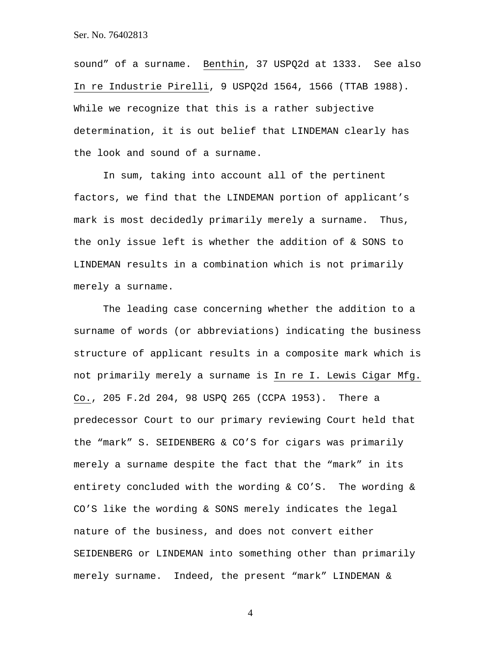sound" of a surname. Benthin, 37 USPQ2d at 1333. See also In re Industrie Pirelli, 9 USPQ2d 1564, 1566 (TTAB 1988). While we recognize that this is a rather subjective determination, it is out belief that LINDEMAN clearly has the look and sound of a surname.

In sum, taking into account all of the pertinent factors, we find that the LINDEMAN portion of applicant's mark is most decidedly primarily merely a surname. Thus, the only issue left is whether the addition of & SONS to LINDEMAN results in a combination which is not primarily merely a surname.

The leading case concerning whether the addition to a surname of words (or abbreviations) indicating the business structure of applicant results in a composite mark which is not primarily merely a surname is In re I. Lewis Cigar Mfg. Co., 205 F.2d 204, 98 USPQ 265 (CCPA 1953). There a predecessor Court to our primary reviewing Court held that the "mark" S. SEIDENBERG & CO'S for cigars was primarily merely a surname despite the fact that the "mark" in its entirety concluded with the wording & CO'S. The wording & CO'S like the wording & SONS merely indicates the legal nature of the business, and does not convert either SEIDENBERG or LINDEMAN into something other than primarily merely surname. Indeed, the present "mark" LINDEMAN &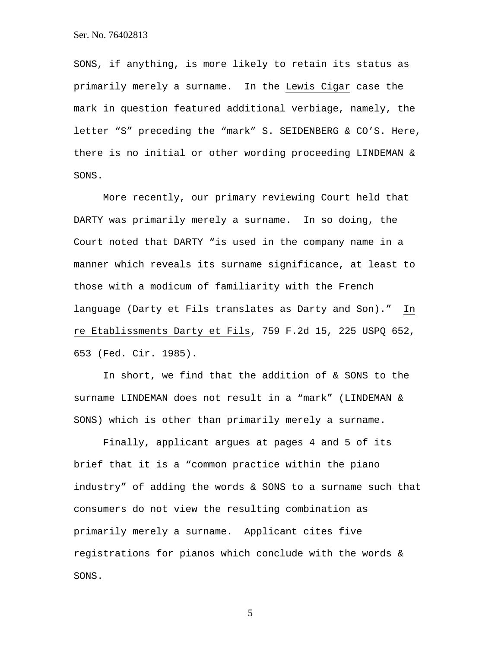SONS, if anything, is more likely to retain its status as primarily merely a surname. In the Lewis Cigar case the mark in question featured additional verbiage, namely, the letter "S" preceding the "mark" S. SEIDENBERG & CO'S. Here, there is no initial or other wording proceeding LINDEMAN & SONS.

More recently, our primary reviewing Court held that DARTY was primarily merely a surname. In so doing, the Court noted that DARTY "is used in the company name in a manner which reveals its surname significance, at least to those with a modicum of familiarity with the French language (Darty et Fils translates as Darty and Son)." In re Etablissments Darty et Fils, 759 F.2d 15, 225 USPQ 652, 653 (Fed. Cir. 1985).

In short, we find that the addition of & SONS to the surname LINDEMAN does not result in a "mark" (LINDEMAN & SONS) which is other than primarily merely a surname.

Finally, applicant argues at pages 4 and 5 of its brief that it is a "common practice within the piano industry" of adding the words & SONS to a surname such that consumers do not view the resulting combination as primarily merely a surname. Applicant cites five registrations for pianos which conclude with the words & SONS.